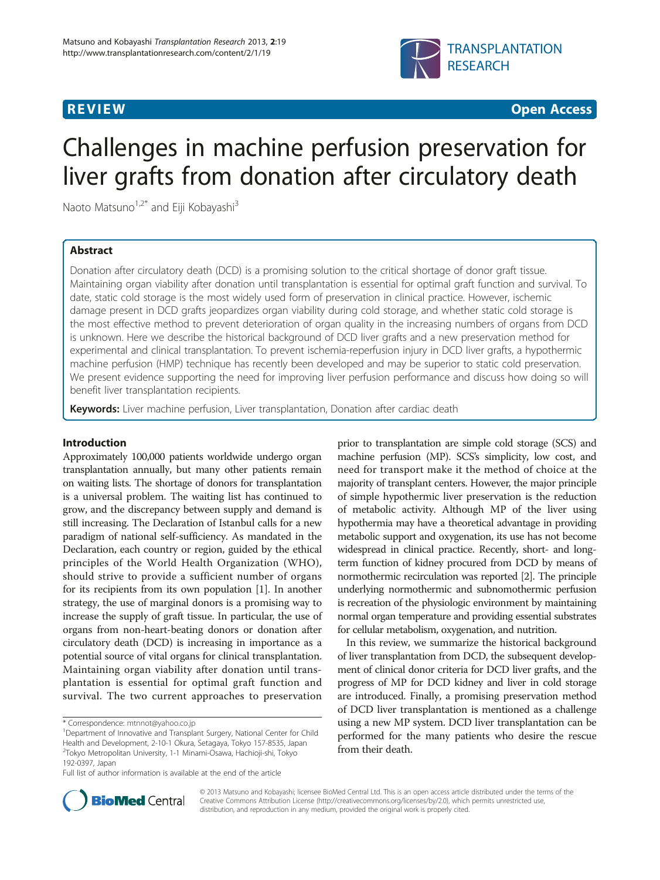

**REVIEW CONSTRUCTION CONSTRUCTION CONSTRUCTION CONSTRUCTS** 

# Challenges in machine perfusion preservation for liver grafts from donation after circulatory death

Naoto Matsuno $1.2^*$  and Eiji Kobayashi<sup>3</sup>

# Abstract

Donation after circulatory death (DCD) is a promising solution to the critical shortage of donor graft tissue. Maintaining organ viability after donation until transplantation is essential for optimal graft function and survival. To date, static cold storage is the most widely used form of preservation in clinical practice. However, ischemic damage present in DCD grafts jeopardizes organ viability during cold storage, and whether static cold storage is the most effective method to prevent deterioration of organ quality in the increasing numbers of organs from DCD is unknown. Here we describe the historical background of DCD liver grafts and a new preservation method for experimental and clinical transplantation. To prevent ischemia-reperfusion injury in DCD liver grafts, a hypothermic machine perfusion (HMP) technique has recently been developed and may be superior to static cold preservation. We present evidence supporting the need for improving liver perfusion performance and discuss how doing so will benefit liver transplantation recipients.

Keywords: Liver machine perfusion, Liver transplantation, Donation after cardiac death

# Introduction

Approximately 100,000 patients worldwide undergo organ transplantation annually, but many other patients remain on waiting lists. The shortage of donors for transplantation is a universal problem. The waiting list has continued to grow, and the discrepancy between supply and demand is still increasing. The Declaration of Istanbul calls for a new paradigm of national self-sufficiency. As mandated in the Declaration, each country or region, guided by the ethical principles of the World Health Organization (WHO), should strive to provide a sufficient number of organs for its recipients from its own population [[1\]](#page-6-0). In another strategy, the use of marginal donors is a promising way to increase the supply of graft tissue. In particular, the use of organs from non-heart-beating donors or donation after circulatory death (DCD) is increasing in importance as a potential source of vital organs for clinical transplantation. Maintaining organ viability after donation until transplantation is essential for optimal graft function and survival. The two current approaches to preservation

192-0397, Japan

prior to transplantation are simple cold storage (SCS) and machine perfusion (MP). SCS's simplicity, low cost, and need for transport make it the method of choice at the majority of transplant centers. However, the major principle of simple hypothermic liver preservation is the reduction of metabolic activity. Although MP of the liver using hypothermia may have a theoretical advantage in providing metabolic support and oxygenation, its use has not become widespread in clinical practice. Recently, short- and longterm function of kidney procured from DCD by means of normothermic recirculation was reported [\[2\]](#page-6-0). The principle underlying normothermic and subnomothermic perfusion is recreation of the physiologic environment by maintaining normal organ temperature and providing essential substrates for cellular metabolism, oxygenation, and nutrition.

In this review, we summarize the historical background of liver transplantation from DCD, the subsequent development of clinical donor criteria for DCD liver grafts, and the progress of MP for DCD kidney and liver in cold storage are introduced. Finally, a promising preservation method of DCD liver transplantation is mentioned as a challenge using a new MP system. DCD liver transplantation can be performed for the many patients who desire the rescue from their death.



© 2013 Matsuno and Kobayashi; licensee BioMed Central Ltd. This is an open access article distributed under the terms of the Creative Commons Attribution License (<http://creativecommons.org/licenses/by/2.0>), which permits unrestricted use, distribution, and reproduction in any medium, provided the original work is properly cited.

<sup>\*</sup> Correspondence: [mtnnot@yahoo.co.jp](mailto:mtnnot@yahoo.co.jp) <sup>1</sup>

<sup>&</sup>lt;sup>1</sup>Department of Innovative and Transplant Surgery, National Center for Child Health and Development, 2-10-1 Okura, Setagaya, Tokyo 157-8535, Japan 2 Tokyo Metropolitan University, 1-1 Minami-Osawa, Hachioji-shi, Tokyo

Full list of author information is available at the end of the article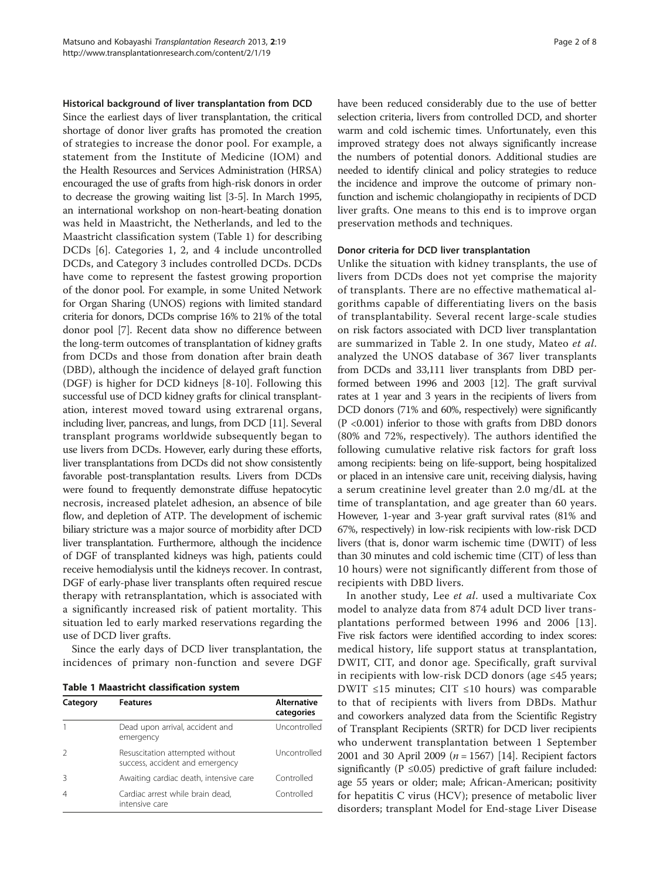Historical background of liver transplantation from DCD

Since the earliest days of liver transplantation, the critical shortage of donor liver grafts has promoted the creation of strategies to increase the donor pool. For example, a statement from the Institute of Medicine (IOM) and the Health Resources and Services Administration (HRSA) encouraged the use of grafts from high-risk donors in order to decrease the growing waiting list [[3](#page-6-0)-[5](#page-6-0)]. In March 1995, an international workshop on non-heart-beating donation was held in Maastricht, the Netherlands, and led to the Maastricht classification system (Table 1) for describing DCDs [\[6](#page-6-0)]. Categories 1, 2, and 4 include uncontrolled DCDs, and Category 3 includes controlled DCDs. DCDs have come to represent the fastest growing proportion of the donor pool. For example, in some United Network for Organ Sharing (UNOS) regions with limited standard criteria for donors, DCDs comprise 16% to 21% of the total donor pool [\[7](#page-6-0)]. Recent data show no difference between the long-term outcomes of transplantation of kidney grafts from DCDs and those from donation after brain death (DBD), although the incidence of delayed graft function (DGF) is higher for DCD kidneys [[8-10\]](#page-6-0). Following this successful use of DCD kidney grafts for clinical transplantation, interest moved toward using extrarenal organs, including liver, pancreas, and lungs, from DCD [[11](#page-6-0)]. Several transplant programs worldwide subsequently began to use livers from DCDs. However, early during these efforts, liver transplantations from DCDs did not show consistently favorable post-transplantation results. Livers from DCDs were found to frequently demonstrate diffuse hepatocytic necrosis, increased platelet adhesion, an absence of bile flow, and depletion of ATP. The development of ischemic biliary stricture was a major source of morbidity after DCD liver transplantation. Furthermore, although the incidence of DGF of transplanted kidneys was high, patients could receive hemodialysis until the kidneys recover. In contrast, DGF of early-phase liver transplants often required rescue therapy with retransplantation, which is associated with a significantly increased risk of patient mortality. This situation led to early marked reservations regarding the use of DCD liver grafts.

Since the early days of DCD liver transplantation, the incidences of primary non-function and severe DGF

Table 1 Maastricht classification system

| Category | <b>Features</b>                                                    | <b>Alternative</b><br>categories |
|----------|--------------------------------------------------------------------|----------------------------------|
|          | Dead upon arrival, accident and<br>emergency                       | Uncontrolled                     |
|          | Resuscitation attempted without<br>success, accident and emergency | Uncontrolled                     |
|          | Awaiting cardiac death, intensive care                             | Controlled                       |
|          | Cardiac arrest while brain dead,<br>intensive care                 | Controlled                       |

have been reduced considerably due to the use of better selection criteria, livers from controlled DCD, and shorter warm and cold ischemic times. Unfortunately, even this improved strategy does not always significantly increase the numbers of potential donors. Additional studies are needed to identify clinical and policy strategies to reduce the incidence and improve the outcome of primary nonfunction and ischemic cholangiopathy in recipients of DCD liver grafts. One means to this end is to improve organ preservation methods and techniques.

#### Donor criteria for DCD liver transplantation

Unlike the situation with kidney transplants, the use of livers from DCDs does not yet comprise the majority of transplants. There are no effective mathematical algorithms capable of differentiating livers on the basis of transplantability. Several recent large-scale studies on risk factors associated with DCD liver transplantation are summarized in Table [2](#page-2-0). In one study, Mateo et al. analyzed the UNOS database of 367 liver transplants from DCDs and 33,111 liver transplants from DBD performed between 1996 and 2003 [\[12\]](#page-6-0). The graft survival rates at 1 year and 3 years in the recipients of livers from DCD donors (71% and 60%, respectively) were significantly (P <0.001) inferior to those with grafts from DBD donors (80% and 72%, respectively). The authors identified the following cumulative relative risk factors for graft loss among recipients: being on life-support, being hospitalized or placed in an intensive care unit, receiving dialysis, having a serum creatinine level greater than 2.0 mg/dL at the time of transplantation, and age greater than 60 years. However, 1-year and 3-year graft survival rates (81% and 67%, respectively) in low-risk recipients with low-risk DCD livers (that is, donor warm ischemic time (DWIT) of less than 30 minutes and cold ischemic time (CIT) of less than 10 hours) were not significantly different from those of recipients with DBD livers.

In another study, Lee et al. used a multivariate Cox model to analyze data from 874 adult DCD liver transplantations performed between 1996 and 2006 [[13](#page-6-0)]. Five risk factors were identified according to index scores: medical history, life support status at transplantation, DWIT, CIT, and donor age. Specifically, graft survival in recipients with low-risk DCD donors (age ≤45 years; DWIT ≤15 minutes; CIT ≤10 hours) was comparable to that of recipients with livers from DBDs. Mathur and coworkers analyzed data from the Scientific Registry of Transplant Recipients (SRTR) for DCD liver recipients who underwent transplantation between 1 September 2001 and 30 April 2009 ( $n = 1567$ ) [\[14](#page-6-0)]. Recipient factors significantly ( $P \le 0.05$ ) predictive of graft failure included: age 55 years or older; male; African-American; positivity for hepatitis C virus (HCV); presence of metabolic liver disorders; transplant Model for End-stage Liver Disease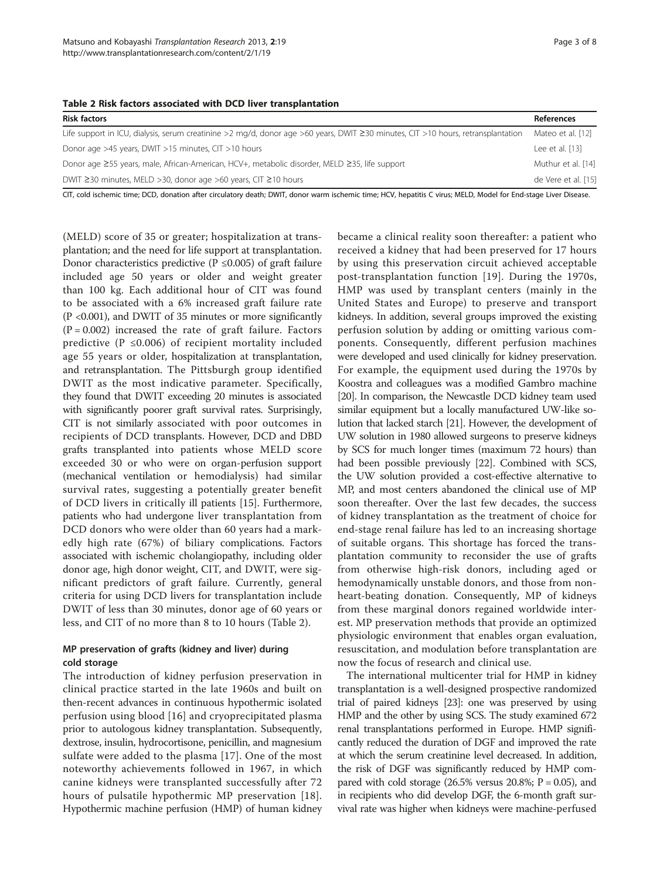<span id="page-2-0"></span>

| <b>Risk factors</b>                                                                                                              | <b>References</b>   |
|----------------------------------------------------------------------------------------------------------------------------------|---------------------|
| Life support in ICU, dialysis, serum creatinine >2 mg/d, donor age >60 years, DWIT ≥30 minutes, CIT >10 hours, retransplantation |                     |
| Donor age >45 years, DWIT >15 minutes, CIT >10 hours                                                                             |                     |
| Donor age ≥55 years, male, African-American, HCV+, metabolic disorder, MELD ≥35, life support                                    |                     |
| DWIT ≥30 minutes, MELD >30, donor age >60 years, CIT ≥10 hours                                                                   | de Vere et al. [15] |

CIT, cold ischemic time; DCD, donation after circulatory death; DWIT, donor warm ischemic time; HCV, hepatitis C virus; MELD, Model for End-stage Liver Disease.

(MELD) score of 35 or greater; hospitalization at transplantation; and the need for life support at transplantation. Donor characteristics predictive ( $P \le 0.005$ ) of graft failure included age 50 years or older and weight greater than 100 kg. Each additional hour of CIT was found to be associated with a 6% increased graft failure rate (P <0.001), and DWIT of 35 minutes or more significantly  $(P = 0.002)$  increased the rate of graft failure. Factors predictive ( $P \le 0.006$ ) of recipient mortality included age 55 years or older, hospitalization at transplantation, and retransplantation. The Pittsburgh group identified DWIT as the most indicative parameter. Specifically, they found that DWIT exceeding 20 minutes is associated with significantly poorer graft survival rates. Surprisingly, CIT is not similarly associated with poor outcomes in recipients of DCD transplants. However, DCD and DBD grafts transplanted into patients whose MELD score exceeded 30 or who were on organ-perfusion support (mechanical ventilation or hemodialysis) had similar survival rates, suggesting a potentially greater benefit of DCD livers in critically ill patients [\[15\]](#page-6-0). Furthermore, patients who had undergone liver transplantation from DCD donors who were older than 60 years had a markedly high rate (67%) of biliary complications. Factors associated with ischemic cholangiopathy, including older donor age, high donor weight, CIT, and DWIT, were significant predictors of graft failure. Currently, general criteria for using DCD livers for transplantation include DWIT of less than 30 minutes, donor age of 60 years or less, and CIT of no more than 8 to 10 hours (Table 2).

# MP preservation of grafts (kidney and liver) during cold storage

The introduction of kidney perfusion preservation in clinical practice started in the late 1960s and built on then-recent advances in continuous hypothermic isolated perfusion using blood [[16\]](#page-6-0) and cryoprecipitated plasma prior to autologous kidney transplantation. Subsequently, dextrose, insulin, hydrocortisone, penicillin, and magnesium sulfate were added to the plasma [\[17\]](#page-6-0). One of the most noteworthy achievements followed in 1967, in which canine kidneys were transplanted successfully after 72 hours of pulsatile hypothermic MP preservation [[18](#page-6-0)]. Hypothermic machine perfusion (HMP) of human kidney became a clinical reality soon thereafter: a patient who received a kidney that had been preserved for 17 hours by using this preservation circuit achieved acceptable post-transplantation function [[19](#page-6-0)]. During the 1970s, HMP was used by transplant centers (mainly in the United States and Europe) to preserve and transport kidneys. In addition, several groups improved the existing perfusion solution by adding or omitting various components. Consequently, different perfusion machines were developed and used clinically for kidney preservation. For example, the equipment used during the 1970s by Koostra and colleagues was a modified Gambro machine [[20](#page-6-0)]. In comparison, the Newcastle DCD kidney team used similar equipment but a locally manufactured UW-like solution that lacked starch [[21](#page-6-0)]. However, the development of UW solution in 1980 allowed surgeons to preserve kidneys by SCS for much longer times (maximum 72 hours) than had been possible previously [\[22\]](#page-6-0). Combined with SCS, the UW solution provided a cost-effective alternative to MP, and most centers abandoned the clinical use of MP soon thereafter. Over the last few decades, the success of kidney transplantation as the treatment of choice for end-stage renal failure has led to an increasing shortage of suitable organs. This shortage has forced the transplantation community to reconsider the use of grafts from otherwise high-risk donors, including aged or hemodynamically unstable donors, and those from nonheart-beating donation. Consequently, MP of kidneys from these marginal donors regained worldwide interest. MP preservation methods that provide an optimized physiologic environment that enables organ evaluation, resuscitation, and modulation before transplantation are now the focus of research and clinical use.

The international multicenter trial for HMP in kidney transplantation is a well-designed prospective randomized trial of paired kidneys [\[23\]](#page-6-0): one was preserved by using HMP and the other by using SCS. The study examined 672 renal transplantations performed in Europe. HMP significantly reduced the duration of DGF and improved the rate at which the serum creatinine level decreased. In addition, the risk of DGF was significantly reduced by HMP compared with cold storage (26.5% versus 20.8%;  $P = 0.05$ ), and in recipients who did develop DGF, the 6-month graft survival rate was higher when kidneys were machine-perfused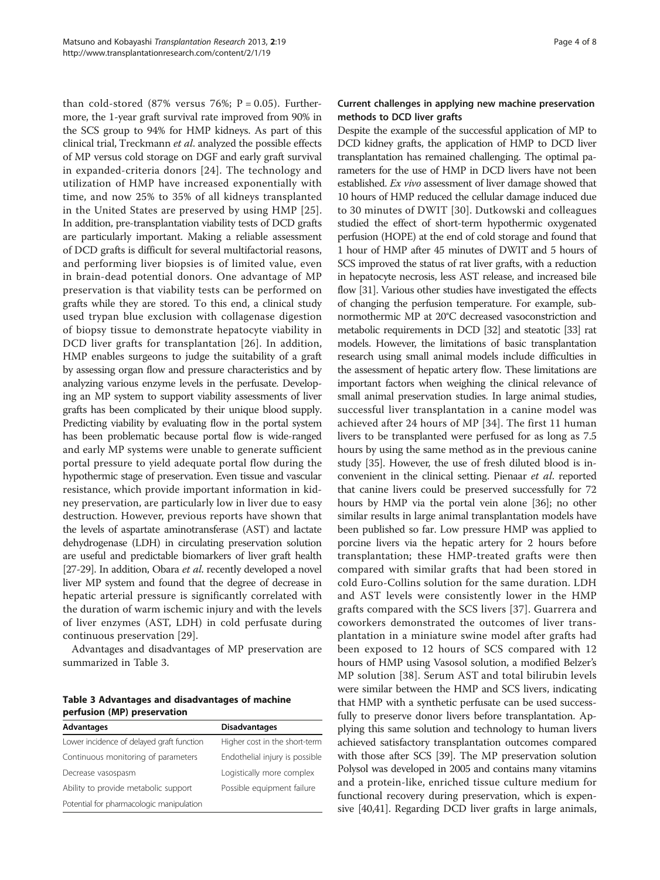than cold-stored (87% versus 76%;  $P = 0.05$ ). Furthermore, the 1-year graft survival rate improved from 90% in the SCS group to 94% for HMP kidneys. As part of this clinical trial, Treckmann et al. analyzed the possible effects of MP versus cold storage on DGF and early graft survival in expanded-criteria donors [\[24\]](#page-6-0). The technology and utilization of HMP have increased exponentially with time, and now 25% to 35% of all kidneys transplanted in the United States are preserved by using HMP [[25](#page-6-0)]. In addition, pre-transplantation viability tests of DCD grafts are particularly important. Making a reliable assessment of DCD grafts is difficult for several multifactorial reasons, and performing liver biopsies is of limited value, even in brain-dead potential donors. One advantage of MP preservation is that viability tests can be performed on grafts while they are stored. To this end, a clinical study used trypan blue exclusion with collagenase digestion of biopsy tissue to demonstrate hepatocyte viability in DCD liver grafts for transplantation [[26\]](#page-6-0). In addition, HMP enables surgeons to judge the suitability of a graft by assessing organ flow and pressure characteristics and by analyzing various enzyme levels in the perfusate. Developing an MP system to support viability assessments of liver grafts has been complicated by their unique blood supply. Predicting viability by evaluating flow in the portal system has been problematic because portal flow is wide-ranged and early MP systems were unable to generate sufficient portal pressure to yield adequate portal flow during the hypothermic stage of preservation. Even tissue and vascular resistance, which provide important information in kidney preservation, are particularly low in liver due to easy destruction. However, previous reports have shown that the levels of aspartate aminotransferase (AST) and lactate dehydrogenase (LDH) in circulating preservation solution are useful and predictable biomarkers of liver graft health [[27](#page-6-0)-[29\]](#page-6-0). In addition, Obara et al. recently developed a novel liver MP system and found that the degree of decrease in hepatic arterial pressure is significantly correlated with the duration of warm ischemic injury and with the levels of liver enzymes (AST, LDH) in cold perfusate during continuous preservation [\[29](#page-6-0)].

Advantages and disadvantages of MP preservation are summarized in Table 3.

Table 3 Advantages and disadvantages of machine perfusion (MP) preservation

| Advantages                                | <b>Disadvantages</b>           |  |
|-------------------------------------------|--------------------------------|--|
| Lower incidence of delayed graft function | Higher cost in the short-term  |  |
| Continuous monitoring of parameters       | Endothelial injury is possible |  |
| Decrease vasospasm                        | Logistically more complex      |  |
| Ability to provide metabolic support      | Possible equipment failure     |  |
| Potential for pharmacologic manipulation  |                                |  |

# Current challenges in applying new machine preservation methods to DCD liver grafts

Despite the example of the successful application of MP to DCD kidney grafts, the application of HMP to DCD liver transplantation has remained challenging. The optimal parameters for the use of HMP in DCD livers have not been established. Ex vivo assessment of liver damage showed that 10 hours of HMP reduced the cellular damage induced due to 30 minutes of DWIT [\[30\]](#page-6-0). Dutkowski and colleagues studied the effect of short-term hypothermic oxygenated perfusion (HOPE) at the end of cold storage and found that 1 hour of HMP after 45 minutes of DWIT and 5 hours of SCS improved the status of rat liver grafts, with a reduction in hepatocyte necrosis, less AST release, and increased bile flow [\[31](#page-6-0)]. Various other studies have investigated the effects of changing the perfusion temperature. For example, subnormothermic MP at 20°C decreased vasoconstriction and metabolic requirements in DCD [[32\]](#page-6-0) and steatotic [\[33](#page-6-0)] rat models. However, the limitations of basic transplantation research using small animal models include difficulties in the assessment of hepatic artery flow. These limitations are important factors when weighing the clinical relevance of small animal preservation studies. In large animal studies, successful liver transplantation in a canine model was achieved after 24 hours of MP [\[34\]](#page-6-0). The first 11 human livers to be transplanted were perfused for as long as 7.5 hours by using the same method as in the previous canine study [[35](#page-6-0)]. However, the use of fresh diluted blood is inconvenient in the clinical setting. Pienaar et al. reported that canine livers could be preserved successfully for 72 hours by HMP via the portal vein alone [\[36\]](#page-6-0); no other similar results in large animal transplantation models have been published so far. Low pressure HMP was applied to porcine livers via the hepatic artery for 2 hours before transplantation; these HMP-treated grafts were then compared with similar grafts that had been stored in cold Euro-Collins solution for the same duration. LDH and AST levels were consistently lower in the HMP grafts compared with the SCS livers [[37](#page-7-0)]. Guarrera and coworkers demonstrated the outcomes of liver transplantation in a miniature swine model after grafts had been exposed to 12 hours of SCS compared with 12 hours of HMP using Vasosol solution, a modified Belzer's MP solution [[38\]](#page-7-0). Serum AST and total bilirubin levels were similar between the HMP and SCS livers, indicating that HMP with a synthetic perfusate can be used successfully to preserve donor livers before transplantation. Applying this same solution and technology to human livers achieved satisfactory transplantation outcomes compared with those after SCS [\[39\]](#page-7-0). The MP preservation solution Polysol was developed in 2005 and contains many vitamins and a protein-like, enriched tissue culture medium for functional recovery during preservation, which is expensive [\[40,41\]](#page-7-0). Regarding DCD liver grafts in large animals,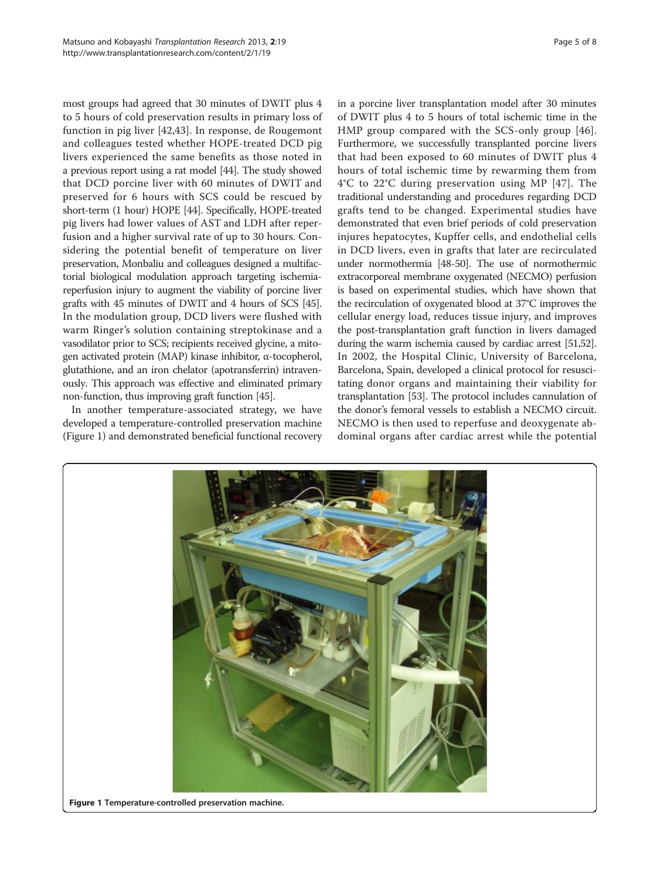most groups had agreed that 30 minutes of DWIT plus 4 to 5 hours of cold preservation results in primary loss of function in pig liver [[42,43\]](#page-7-0). In response, de Rougemont and colleagues tested whether HOPE-treated DCD pig livers experienced the same benefits as those noted in a previous report using a rat model [\[44\]](#page-7-0). The study showed that DCD porcine liver with 60 minutes of DWIT and preserved for 6 hours with SCS could be rescued by short-term (1 hour) HOPE [[44](#page-7-0)]. Specifically, HOPE-treated pig livers had lower values of AST and LDH after reperfusion and a higher survival rate of up to 30 hours. Considering the potential benefit of temperature on liver preservation, Monbaliu and colleagues designed a multifactorial biological modulation approach targeting ischemiareperfusion injury to augment the viability of porcine liver grafts with 45 minutes of DWIT and 4 hours of SCS [\[45](#page-7-0)]. In the modulation group, DCD livers were flushed with warm Ringer's solution containing streptokinase and a vasodilator prior to SCS; recipients received glycine, a mitogen activated protein (MAP) kinase inhibitor, α-tocopherol, glutathione, and an iron chelator (apotransferrin) intravenously. This approach was effective and eliminated primary non-function, thus improving graft function [\[45](#page-7-0)].

In another temperature-associated strategy, we have developed a temperature-controlled preservation machine (Figure 1) and demonstrated beneficial functional recovery in a porcine liver transplantation model after 30 minutes of DWIT plus 4 to 5 hours of total ischemic time in the HMP group compared with the SCS-only group [[46](#page-7-0)]. Furthermore, we successfully transplanted porcine livers that had been exposed to 60 minutes of DWIT plus 4 hours of total ischemic time by rewarming them from 4°C to 22°C during preservation using MP [[47\]](#page-7-0). The traditional understanding and procedures regarding DCD grafts tend to be changed. Experimental studies have demonstrated that even brief periods of cold preservation injures hepatocytes, Kupffer cells, and endothelial cells in DCD livers, even in grafts that later are recirculated under normothermia [\[48](#page-7-0)-[50](#page-7-0)]. The use of normothermic extracorporeal membrane oxygenated (NECMO) perfusion is based on experimental studies, which have shown that the recirculation of oxygenated blood at 37°C improves the cellular energy load, reduces tissue injury, and improves the post-transplantation graft function in livers damaged during the warm ischemia caused by cardiac arrest [[51,52](#page-7-0)]. In 2002, the Hospital Clinic, University of Barcelona, Barcelona, Spain, developed a clinical protocol for resuscitating donor organs and maintaining their viability for transplantation [\[53\]](#page-7-0). The protocol includes cannulation of the donor's femoral vessels to establish a NECMO circuit. NECMO is then used to reperfuse and deoxygenate abdominal organs after cardiac arrest while the potential

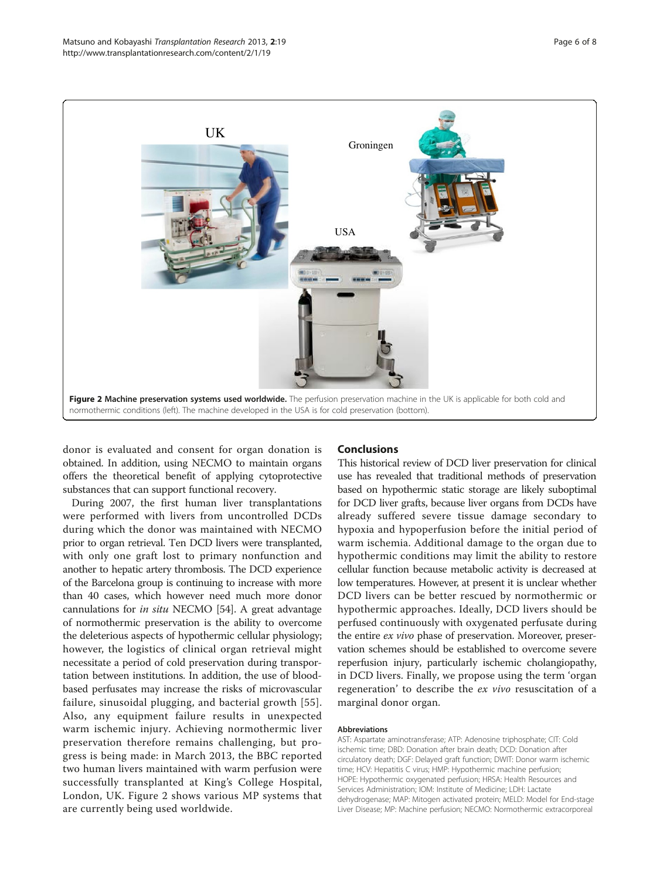

donor is evaluated and consent for organ donation is obtained. In addition, using NECMO to maintain organs offers the theoretical benefit of applying cytoprotective substances that can support functional recovery.

During 2007, the first human liver transplantations were performed with livers from uncontrolled DCDs during which the donor was maintained with NECMO prior to organ retrieval. Ten DCD livers were transplanted, with only one graft lost to primary nonfunction and another to hepatic artery thrombosis. The DCD experience of the Barcelona group is continuing to increase with more than 40 cases, which however need much more donor cannulations for in situ NECMO [\[54](#page-7-0)]. A great advantage of normothermic preservation is the ability to overcome the deleterious aspects of hypothermic cellular physiology; however, the logistics of clinical organ retrieval might necessitate a period of cold preservation during transportation between institutions. In addition, the use of bloodbased perfusates may increase the risks of microvascular failure, sinusoidal plugging, and bacterial growth [[55\]](#page-7-0). Also, any equipment failure results in unexpected warm ischemic injury. Achieving normothermic liver preservation therefore remains challenging, but progress is being made: in March 2013, the BBC reported two human livers maintained with warm perfusion were successfully transplanted at King's College Hospital, London, UK. Figure 2 shows various MP systems that are currently being used worldwide.

# **Conclusions**

This historical review of DCD liver preservation for clinical use has revealed that traditional methods of preservation based on hypothermic static storage are likely suboptimal for DCD liver grafts, because liver organs from DCDs have already suffered severe tissue damage secondary to hypoxia and hypoperfusion before the initial period of warm ischemia. Additional damage to the organ due to hypothermic conditions may limit the ability to restore cellular function because metabolic activity is decreased at low temperatures. However, at present it is unclear whether DCD livers can be better rescued by normothermic or hypothermic approaches. Ideally, DCD livers should be perfused continuously with oxygenated perfusate during the entire ex vivo phase of preservation. Moreover, preservation schemes should be established to overcome severe reperfusion injury, particularly ischemic cholangiopathy, in DCD livers. Finally, we propose using the term 'organ regeneration' to describe the ex vivo resuscitation of a marginal donor organ.

### Abbreviations

AST: Aspartate aminotransferase; ATP: Adenosine triphosphate; CIT: Cold ischemic time; DBD: Donation after brain death; DCD: Donation after circulatory death; DGF: Delayed graft function; DWIT: Donor warm ischemic time; HCV: Hepatitis C virus; HMP: Hypothermic machine perfusion; HOPE: Hypothermic oxygenated perfusion; HRSA: Health Resources and Services Administration; IOM: Institute of Medicine; LDH: Lactate dehydrogenase; MAP: Mitogen activated protein; MELD: Model for End-stage Liver Disease; MP: Machine perfusion; NECMO: Normothermic extracorporeal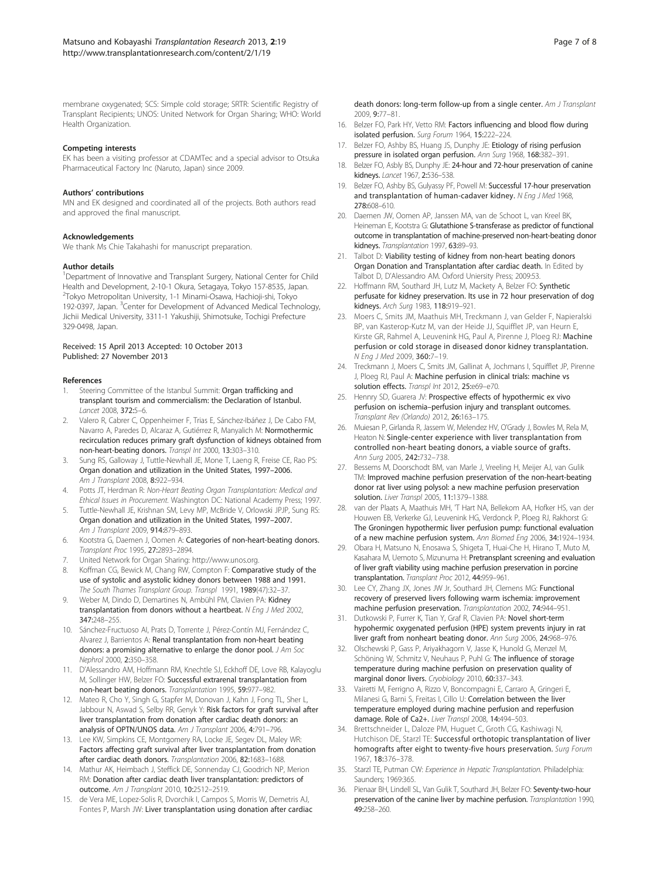#### <span id="page-6-0"></span>Competing interests

EK has been a visiting professor at CDAMTec and a special advisor to Otsuka Pharmaceutical Factory Inc (Naruto, Japan) since 2009.

#### Authors' contributions

MN and EK designed and coordinated all of the projects. Both authors read and approved the final manuscript.

#### Acknowledgements

We thank Ms Chie Takahashi for manuscript preparation.

#### Author details

<sup>1</sup>Department of Innovative and Transplant Surgery, National Center for Child Health and Development, 2-10-1 Okura, Setagaya, Tokyo 157-8535, Japan. 2 Tokyo Metropolitan University, 1-1 Minami-Osawa, Hachioji-shi, Tokyo 192-0397, Japan. <sup>3</sup>Center for Development of Advanced Medical Technology, Jichii Medical University, 3311-1 Yakushiji, Shimotsuke, Tochigi Prefecture 329-0498, Japan.

### Received: 15 April 2013 Accepted: 10 October 2013 Published: 27 November 2013

#### References

- 1. Steering Committee of the Istanbul Summit: Organ trafficking and transplant tourism and commercialism: the Declaration of Istanbul. Lancet 2008, 372:5–6.
- 2. Valero R, Cabrer C, Oppenheimer F, Trias E, Sánchez-Ibáñez J, De Cabo FM, Navarro A, Paredes D, Alcaraz A, Gutiérrez R, Manyalich M: Normothermic recirculation reduces primary graft dysfunction of kidneys obtained from non-heart-beating donors. Transpl Int 2000, 13:303–310.
- 3. Sung RS, Galloway J, Tuttle-Newhall JE, Mone T, Laeng R, Freise CE, Rao PS: Organ donation and utilization in the United States, 1997–2006. Am J Transplant 2008, 8:922-934.
- 4. Potts JT, Herdman R: Non-Heart Beating Organ Transplantation: Medical and Ethical Issues in Procurement. Washington DC: National Academy Press; 1997.
- 5. Tuttle-Newhall JE, Krishnan SM, Levy MP, McBride V, Orlowski JPJP, Sung RS: Organ donation and utilization in the United States, 1997–2007. Am J Transplant 2009, 914:879–893.
- 6. Kootstra G, Daemen J, Oomen A: Categories of non-heart-beating donors. Transplant Proc 1995, 27:2893–2894.
- 7. United Network for Organ Sharing: [http://www.unos.org.](http://www.unos.org)
- 8. Koffman CG, Bewick M, Chang RW, Compton F: Comparative study of the use of systolic and asystolic kidney donors between 1988 and 1991. The South Thames Transplant Group. Transpl 1991, 1989(47):32–37.
- 9. Weber M, Dindo D, Demartines N, Ambühl PM, Clavien PA: Kidney transplantation from donors without a heartbeat. N Eng J Med 2002, 347:248–255.
- 10. Sánchez-Fructuoso AI, Prats D, Torrente J, Pérez-Contín MJ, Fernández C, Alvarez J, Barrientos A: Renal transplantation from non-heart beating donors: a promising alternative to enlarge the donor pool. J Am Soc Nephrol 2000, 2:350–358.
- 11. D'Alessandro AM, Hoffmann RM, Knechtle SJ, Eckhoff DE, Love RB, Kalayoglu M, Sollinger HW, Belzer FO: Successful extrarenal transplantation from non-heart beating donors. Transplantation 1995, 59:977–982.
- 12. Mateo R, Cho Y, Singh G, Stapfer M, Donovan J, Kahn J, Fong TL, Sher L, Jabbour N, Aswad S, Selby RR, Genyk Y: Risk factors for graft survival after liver transplantation from donation after cardiac death donors: an analysis of OPTN/UNOS data. Am J Transplant 2006, 4:791-796.
- 13. Lee KW, Simpkins CE, Montgomery RA, Locke JE, Segev DL, Maley WR: Factors affecting graft survival after liver transplantation from donation after cardiac death donors. Transplantation 2006, 82:1683–1688.
- 14. Mathur AK, Heimbach J, Steffick DE, Sonnenday CJ, Goodrich NP, Merion RM: Donation after cardiac death liver transplantation: predictors of outcome. Am J Transplant 2010, 10:2512–2519.
- 15. de Vera ME, Lopez-Solis R, Dvorchik I, Campos S, Morris W, Demetris AJ, Fontes P, Marsh JW: Liver transplantation using donation after cardiac
- 2009, 9:77–81. 16. Belzer FO, Park HY, Vetto RM: Factors influencing and blood flow during isolated perfusion. Surg Forum 1964, 15:222–224.
- 17. Belzer FO, Ashby BS, Huang JS, Dunphy JE: Etiology of rising perfusion pressure in isolated organ perfusion. Ann Surg 1968, 168:382–391.
- 18. Belzer FO, Asbly BS, Dunphy JE: 24-hour and 72-hour preservation of canine kidneys. Lancet 1967, 2:536–538.
- 19. Belzer FO, Ashby BS, Gulyassy PF, Powell M: Successful 17-hour preservation and transplantation of human-cadaver kidney. N Eng J Med 1968, 278:608–610.
- 20. Daemen JW, Oomen AP, Janssen MA, van de Schoot L, van Kreel BK, Heineman E, Kootstra G: Glutathione S-transferase as predictor of functional outcome in transplantation of machine-preserved non-heart-beating donor kidneys. Transplantation 1997, 63:89–93.
- 21. Talbot D: Viability testing of kidney from non-heart beating donors Organ Donation and Transplantation after cardiac death. In Edited by Talbot D, D'Alessandro AM. Oxford Uniersity Press; 2009:53.
- 22. Hoffmann RM, Southard JH, Lutz M, Mackety A, Belzer FO: Synthetic perfusate for kidney preservation. Its use in 72 hour preservation of dog kidneys. Arch Surg 1983, 118:919–921.
- 23. Moers C, Smits JM, Maathuis MH, Treckmann J, van Gelder F, Napieralski BP, van Kasterop-Kutz M, van der Heide JJ, Squifflet JP, van Heurn E, Kirste GR, Rahmel A, Leuvenink HG, Paul A, Pirenne J, Ploeg RJ: Machine perfusion or cold storage in diseased donor kidney transplantation. N Eng J Med 2009, 360:7–19.
- 24. Treckmann J, Moers C, Smits JM, Gallinat A, Jochmans I, Squifflet JP, Pirenne J, Ploeg RJ, Paul A: Machine perfusion in clinical trials: machine vs solution effects. Transpl Int 2012, 25:e69-e70.
- 25. Hennry SD, Guarera JV: Prospective effects of hypothermic ex vivo perfusion on ischemia–perfusion injury and transplant outcomes. Transplant Rev (Orlando) 2012, 26:163–175.
- 26. Muiesan P, Girlanda R, Jassem W, Melendez HV, O'Grady J, Bowles M, Rela M, Heaton N: Single-center experience with liver transplantation from controlled non-heart beating donors, a viable source of grafts. Ann Surg 2005, 242:732–738.
- 27. Bessems M, Doorschodt BM, van Marle J, Vreeling H, Meijer AJ, van Gulik TM: Improved machine perfusion preservation of the non-heart-beating donor rat liver using polysol: a new machine perfusion preservation solution. Liver Transpl 2005, 11:1379-1388.
- 28. van der Plaats A, Maathuis MH, 'T Hart NA, Bellekom AA, Hofker HS, van der Houwen EB, Verkerke GJ, Leuvenink HG, Verdonck P, Ploeg RJ, Rakhorst G: The Groningen hypothermic liver perfusion pump: functional evaluation of a new machine perfusion system. Ann Biomed Eng 2006, 34:1924–1934.
- 29. Obara H, Matsuno N, Enosawa S, Shigeta T, Huai-Che H, Hirano T, Muto M, Kasahara M, Uemoto S, Mizunuma H: Pretransplant screening and evaluation of liver graft viability using machine perfusion preservation in porcine transplantation. Transplant Proc 2012, 44:959–961.
- 30. Lee CY, Zhang JX, Jones JW Jr, Southard JH, Clemens MG: Functional recovery of preserved livers following warm ischemia: improvement machine perfusion preservation. Transplantation 2002, 74:944–951.
- 31. Dutkowski P, Furrer K, Tian Y, Graf R, Clavien PA: Novel short-term hypohermic oxygenated perfusion (HPE) system prevents injury in rat liver graft from nonheart beating donor. Ann Surg 2006, 24:968–976.
- 32. Olschewski P, Gass P, Ariyakhagorn V, Jasse K, Hunold G, Menzel M, Schöning W, Schmitz V, Neuhaus P, Puhl G: The influence of storage temperature during machine perfusion on preservation quality of marginal donor livers. Cryobiology 2010, 60:337-343.
- 33. Vairetti M, Ferrigno A, Rizzo V, Boncompagni E, Carraro A, Gringeri E, Milanesi G, Barni S, Freitas I, Cillo U: Correlation between the liver temperature employed during machine perfusion and reperfusion damage. Role of Ca2+. Liver Transpl 2008, 14:494–503.
- 34. Brettschneider L, Daloze PM, Huguet C, Groth CG, Kashiwagi N, Hutchison DE, Starzl TE: Successful orthotopic transplantation of liver homografts after eight to twenty-five hours preservation. Surg Forum 1967, 18:376–378.
- 35. Starzl TE, Putman CW: Experience in Hepatic Transplantation. Philadelphia: Saunders; 1969:365.
- 36. Pienaar BH, Lindell SL, Van Gulik T, Southard JH, Belzer FO: Seventy-two-hour preservation of the canine liver by machine perfusion. Transplantation 1990, 49:258–260.